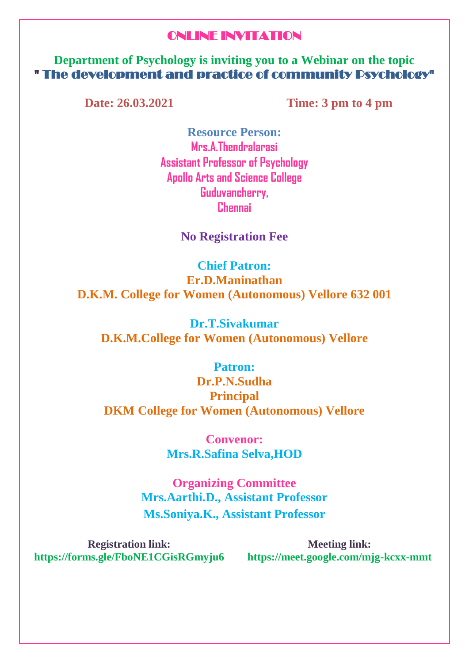## ONLINE INVITATION

**Department of Psychology is inviting you to a Webinar on the topic**  " The development and practice of community Psychology"

**Date: 26.03.2021 Time: 3 pm to 4 pm** 

**Resource Person: Mrs.A.Thendralarasi Assistant Professor of Psychology Apollo Arts and Science College Guduvancherry, Chennai** 

**No Registration Fee**

**Chief Patron: Er.D.Maninathan D.K.M. College for Women (Autonomous) Vellore 632 001**

**Dr.T.Sivakumar D.K.M.College for Women (Autonomous) Vellore**

**Patron: Dr.P.N.Sudha Principal**

**DKM College for Women (Autonomous) Vellore** 

**Convenor: Mrs.R.Safina Selva,HOD**

**Organizing Committee Mrs.Aarthi.D., Assistant Professor Ms.Soniya.K., Assistant Professor**

**Registration link: https://forms.gle/FboNE1CGisRGmyju6 https://meet.google.com/mjg-kcxx-mmt**

**Meeting link:**